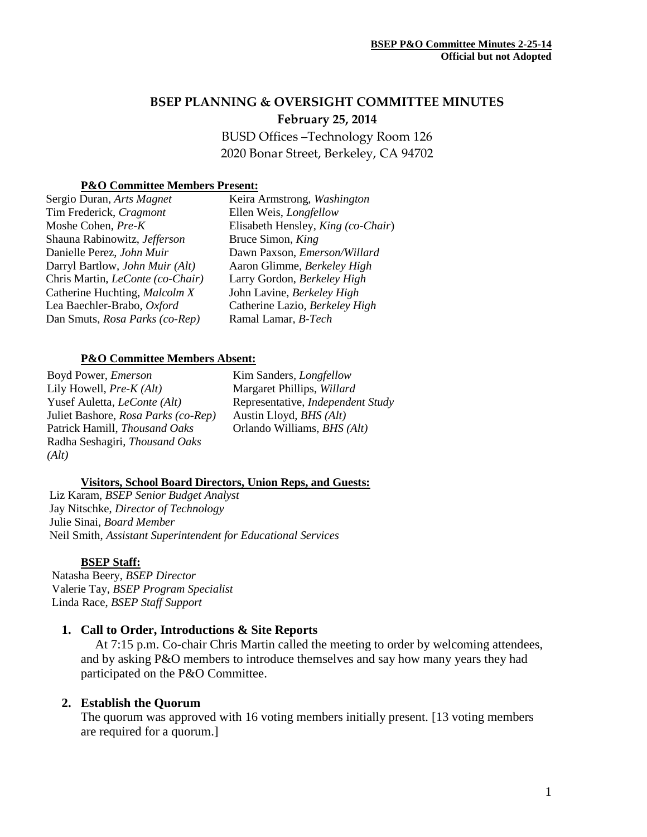# **BSEP PLANNING & OVERSIGHT COMMITTEE MINUTES February 25, 2014**

BUSD Offices –Technology Room 126 2020 Bonar Street, Berkeley, CA 94702

### **P&O Committee Members Present:**

| Sergio Duran, Arts Magnet        | Ke  |
|----------------------------------|-----|
| Tim Frederick, Cragmont          | Ell |
| Moshe Cohen, Pre-K               | Eli |
| Shauna Rabinowitz, Jefferson     | Bru |
| Danielle Perez, John Muir        | Da  |
| Darryl Bartlow, John Muir (Alt)  | Aa  |
| Chris Martin, LeConte (co-Chair) | Lai |
| Catherine Huchting, Malcolm X    | Jol |
| Lea Baechler-Brabo, Oxford       | Ca  |
| Dan Smuts, Rosa Parks (co-Rep)   | Rai |
|                                  |     |

Keira Armstrong, *Washington* en Weis, *Longfellow* sabeth Hensley, King (co-Chair) Bruce Simon, *King* wn Paxson, *Emerson/Willard* ron Glimme, *Berkeley High* Larry Gordon, *Berkeley High* John Lavine, *Berkeley High* Catherine Lazio, *Berkeley High* Ramal Lamar*, B-Tech*

#### **P&O Committee Members Absent:**

Boyd Power, *Emerson* Lily Howell, *Pre-K (Alt)* Yusef Auletta, *LeConte (Alt)* Juliet Bashore, *Rosa Parks (co-Rep)* Patrick Hamill, *Thousand Oaks* Radha Seshagiri, *Thousand Oaks (Alt)*

Kim Sanders*, Longfellow* Margaret Phillips, *Willard* Representative, *Independent Study* Austin Lloyd, *BHS (Alt)* Orlando Williams, *BHS (Alt)*

#### **Visitors, School Board Directors, Union Reps, and Guests:**

Liz Karam, *BSEP Senior Budget Analyst* Jay Nitschke, *Director of Technology* Julie Sinai, *Board Member* Neil Smith, *Assistant Superintendent for Educational Services*

#### **BSEP Staff:**

 Natasha Beery, *BSEP Director* Valerie Tay, *BSEP Program Specialist* Linda Race, *BSEP Staff Support*

### **1. Call to Order, Introductions & Site Reports**

At 7:15 p.m. Co-chair Chris Martin called the meeting to order by welcoming attendees, and by asking P&O members to introduce themselves and say how many years they had participated on the P&O Committee.

### **2. Establish the Quorum**

The quorum was approved with 16 voting members initially present. [13 voting members are required for a quorum.]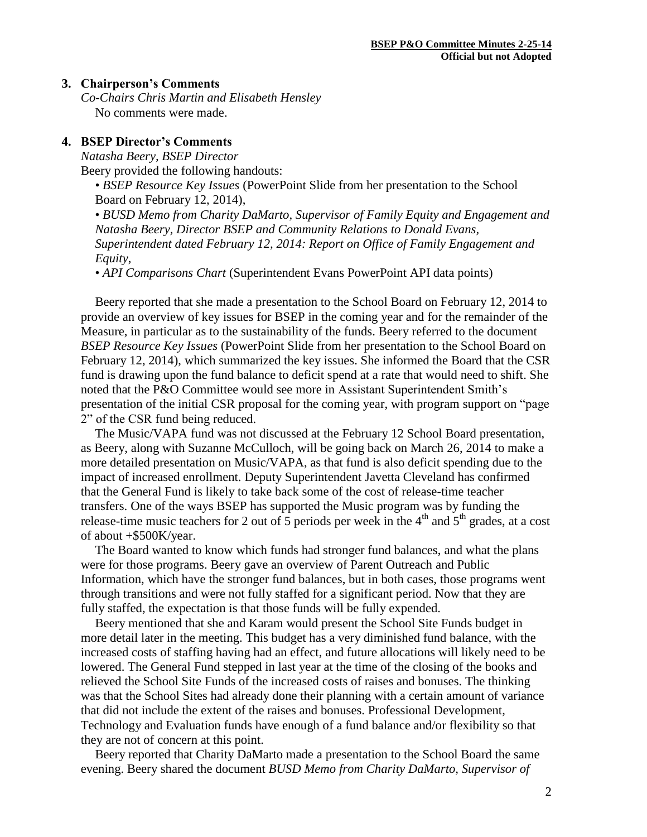#### **3. Chairperson's Comments**

*Co-Chairs Chris Martin and Elisabeth Hensley* No comments were made.

#### **4. BSEP Director's Comments**

*Natasha Beery, BSEP Director*

Beery provided the following handouts:

• *BSEP Resource Key Issues* (PowerPoint Slide from her presentation to the School Board on February 12, 2014),

• *BUSD Memo from Charity DaMarto, Supervisor of Family Equity and Engagement and Natasha Beery, Director BSEP and Community Relations to Donald Evans, Superintendent dated February 12, 2014: Report on Office of Family Engagement and Equity*,

• *API Comparisons Chart* (Superintendent Evans PowerPoint API data points)

Beery reported that she made a presentation to the School Board on February 12, 2014 to provide an overview of key issues for BSEP in the coming year and for the remainder of the Measure, in particular as to the sustainability of the funds. Beery referred to the document *BSEP Resource Key Issues* (PowerPoint Slide from her presentation to the School Board on February 12, 2014), which summarized the key issues. She informed the Board that the CSR fund is drawing upon the fund balance to deficit spend at a rate that would need to shift. She noted that the P&O Committee would see more in Assistant Superintendent Smith's presentation of the initial CSR proposal for the coming year, with program support on "page 2" of the CSR fund being reduced.

The Music/VAPA fund was not discussed at the February 12 School Board presentation, as Beery, along with Suzanne McCulloch, will be going back on March 26, 2014 to make a more detailed presentation on Music/VAPA, as that fund is also deficit spending due to the impact of increased enrollment. Deputy Superintendent Javetta Cleveland has confirmed that the General Fund is likely to take back some of the cost of release-time teacher transfers. One of the ways BSEP has supported the Music program was by funding the release-time music teachers for 2 out of 5 periods per week in the 4<sup>th</sup> and  $5<sup>th</sup>$  grades, at a cost of about +\$500K/year.

The Board wanted to know which funds had stronger fund balances, and what the plans were for those programs. Beery gave an overview of Parent Outreach and Public Information, which have the stronger fund balances, but in both cases, those programs went through transitions and were not fully staffed for a significant period. Now that they are fully staffed, the expectation is that those funds will be fully expended.

Beery mentioned that she and Karam would present the School Site Funds budget in more detail later in the meeting. This budget has a very diminished fund balance, with the increased costs of staffing having had an effect, and future allocations will likely need to be lowered. The General Fund stepped in last year at the time of the closing of the books and relieved the School Site Funds of the increased costs of raises and bonuses. The thinking was that the School Sites had already done their planning with a certain amount of variance that did not include the extent of the raises and bonuses. Professional Development, Technology and Evaluation funds have enough of a fund balance and/or flexibility so that they are not of concern at this point.

Beery reported that Charity DaMarto made a presentation to the School Board the same evening. Beery shared the document *BUSD Memo from Charity DaMarto, Supervisor of*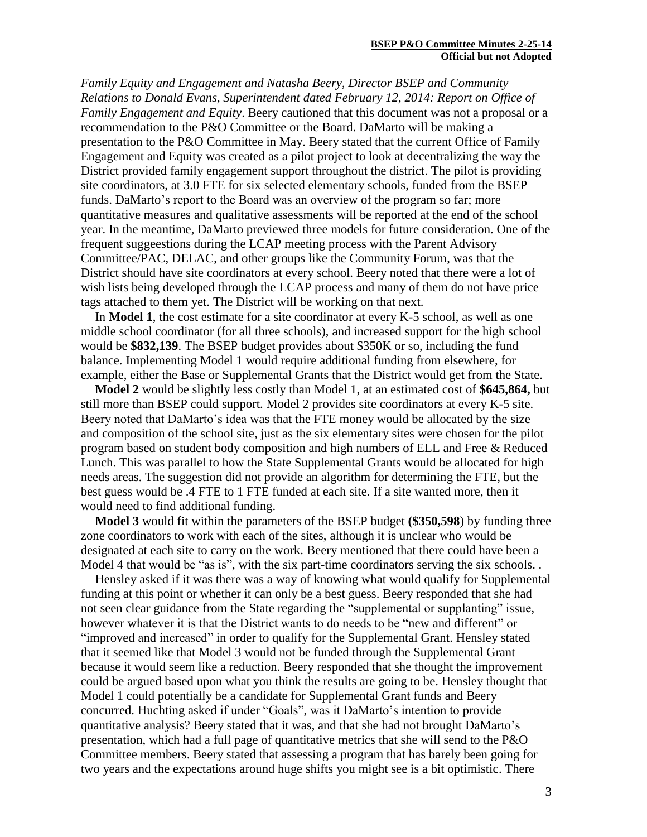*Family Equity and Engagement and Natasha Beery, Director BSEP and Community Relations to Donald Evans, Superintendent dated February 12, 2014: Report on Office of Family Engagement and Equity*. Beery cautioned that this document was not a proposal or a recommendation to the P&O Committee or the Board. DaMarto will be making a presentation to the P&O Committee in May. Beery stated that the current Office of Family Engagement and Equity was created as a pilot project to look at decentralizing the way the District provided family engagement support throughout the district. The pilot is providing site coordinators, at 3.0 FTE for six selected elementary schools, funded from the BSEP funds. DaMarto's report to the Board was an overview of the program so far; more quantitative measures and qualitative assessments will be reported at the end of the school year. In the meantime, DaMarto previewed three models for future consideration. One of the frequent suggeestions during the LCAP meeting process with the Parent Advisory Committee/PAC, DELAC, and other groups like the Community Forum, was that the District should have site coordinators at every school. Beery noted that there were a lot of wish lists being developed through the LCAP process and many of them do not have price tags attached to them yet. The District will be working on that next.

In **Model 1**, the cost estimate for a site coordinator at every K-5 school, as well as one middle school coordinator (for all three schools), and increased support for the high school would be **\$832,139**. The BSEP budget provides about \$350K or so, including the fund balance. Implementing Model 1 would require additional funding from elsewhere, for example, either the Base or Supplemental Grants that the District would get from the State.

**Model 2** would be slightly less costly than Model 1, at an estimated cost of **\$645,864,** but still more than BSEP could support. Model 2 provides site coordinators at every K-5 site. Beery noted that DaMarto's idea was that the FTE money would be allocated by the size and composition of the school site, just as the six elementary sites were chosen for the pilot program based on student body composition and high numbers of ELL and Free & Reduced Lunch. This was parallel to how the State Supplemental Grants would be allocated for high needs areas. The suggestion did not provide an algorithm for determining the FTE, but the best guess would be .4 FTE to 1 FTE funded at each site. If a site wanted more, then it would need to find additional funding.

**Model 3** would fit within the parameters of the BSEP budget **(\$350,598**) by funding three zone coordinators to work with each of the sites, although it is unclear who would be designated at each site to carry on the work. Beery mentioned that there could have been a Model 4 that would be "as is", with the six part-time coordinators serving the six schools. .

Hensley asked if it was there was a way of knowing what would qualify for Supplemental funding at this point or whether it can only be a best guess. Beery responded that she had not seen clear guidance from the State regarding the "supplemental or supplanting" issue, however whatever it is that the District wants to do needs to be "new and different" or "improved and increased" in order to qualify for the Supplemental Grant. Hensley stated that it seemed like that Model 3 would not be funded through the Supplemental Grant because it would seem like a reduction. Beery responded that she thought the improvement could be argued based upon what you think the results are going to be. Hensley thought that Model 1 could potentially be a candidate for Supplemental Grant funds and Beery concurred. Huchting asked if under "Goals", was it DaMarto's intention to provide quantitative analysis? Beery stated that it was, and that she had not brought DaMarto's presentation, which had a full page of quantitative metrics that she will send to the P&O Committee members. Beery stated that assessing a program that has barely been going for two years and the expectations around huge shifts you might see is a bit optimistic. There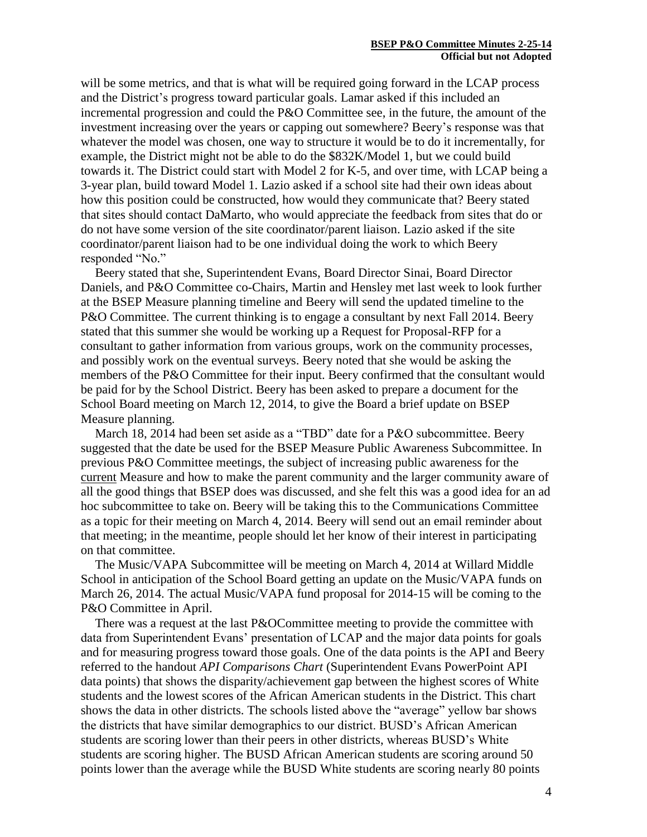will be some metrics, and that is what will be required going forward in the LCAP process and the District's progress toward particular goals. Lamar asked if this included an incremental progression and could the P&O Committee see, in the future, the amount of the investment increasing over the years or capping out somewhere? Beery's response was that whatever the model was chosen, one way to structure it would be to do it incrementally, for example, the District might not be able to do the \$832K/Model 1, but we could build towards it. The District could start with Model 2 for K-5, and over time, with LCAP being a 3-year plan, build toward Model 1. Lazio asked if a school site had their own ideas about how this position could be constructed, how would they communicate that? Beery stated that sites should contact DaMarto, who would appreciate the feedback from sites that do or do not have some version of the site coordinator/parent liaison. Lazio asked if the site coordinator/parent liaison had to be one individual doing the work to which Beery responded "No."

Beery stated that she, Superintendent Evans, Board Director Sinai, Board Director Daniels, and P&O Committee co-Chairs, Martin and Hensley met last week to look further at the BSEP Measure planning timeline and Beery will send the updated timeline to the P&O Committee. The current thinking is to engage a consultant by next Fall 2014. Beery stated that this summer she would be working up a Request for Proposal-RFP for a consultant to gather information from various groups, work on the community processes, and possibly work on the eventual surveys. Beery noted that she would be asking the members of the P&O Committee for their input. Beery confirmed that the consultant would be paid for by the School District. Beery has been asked to prepare a document for the School Board meeting on March 12, 2014, to give the Board a brief update on BSEP Measure planning.

March 18, 2014 had been set aside as a "TBD" date for a P&O subcommittee. Beery suggested that the date be used for the BSEP Measure Public Awareness Subcommittee. In previous P&O Committee meetings, the subject of increasing public awareness for the current Measure and how to make the parent community and the larger community aware of all the good things that BSEP does was discussed, and she felt this was a good idea for an ad hoc subcommittee to take on. Beery will be taking this to the Communications Committee as a topic for their meeting on March 4, 2014. Beery will send out an email reminder about that meeting; in the meantime, people should let her know of their interest in participating on that committee.

The Music/VAPA Subcommittee will be meeting on March 4, 2014 at Willard Middle School in anticipation of the School Board getting an update on the Music/VAPA funds on March 26, 2014. The actual Music/VAPA fund proposal for 2014-15 will be coming to the P&O Committee in April.

There was a request at the last P&OCommittee meeting to provide the committee with data from Superintendent Evans' presentation of LCAP and the major data points for goals and for measuring progress toward those goals. One of the data points is the API and Beery referred to the handout *API Comparisons Chart* (Superintendent Evans PowerPoint API data points) that shows the disparity/achievement gap between the highest scores of White students and the lowest scores of the African American students in the District. This chart shows the data in other districts. The schools listed above the "average" yellow bar shows the districts that have similar demographics to our district. BUSD's African American students are scoring lower than their peers in other districts, whereas BUSD's White students are scoring higher. The BUSD African American students are scoring around 50 points lower than the average while the BUSD White students are scoring nearly 80 points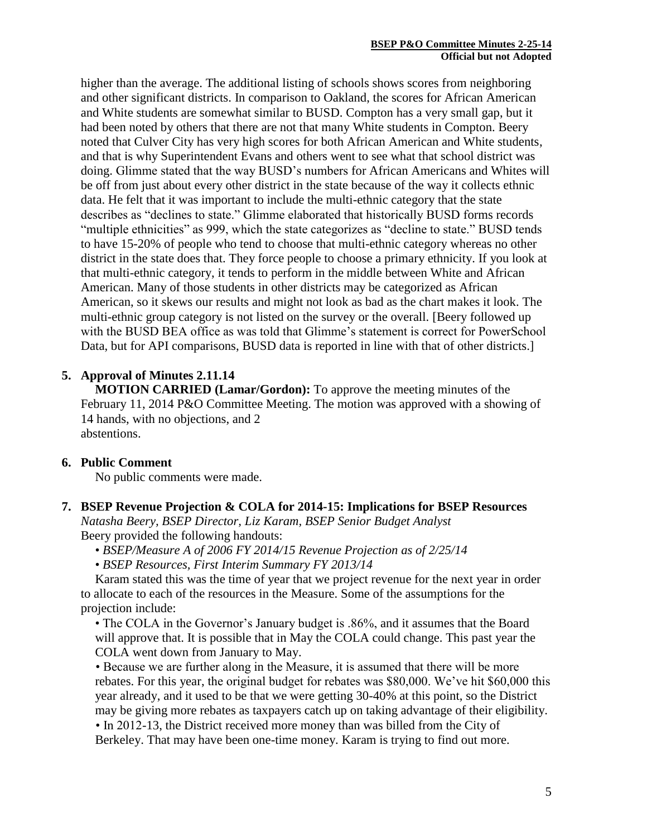higher than the average. The additional listing of schools shows scores from neighboring and other significant districts. In comparison to Oakland, the scores for African American and White students are somewhat similar to BUSD. Compton has a very small gap, but it had been noted by others that there are not that many White students in Compton. Beery noted that Culver City has very high scores for both African American and White students, and that is why Superintendent Evans and others went to see what that school district was doing. Glimme stated that the way BUSD's numbers for African Americans and Whites will be off from just about every other district in the state because of the way it collects ethnic data. He felt that it was important to include the multi-ethnic category that the state describes as "declines to state." Glimme elaborated that historically BUSD forms records "multiple ethnicities" as 999, which the state categorizes as "decline to state." BUSD tends to have 15-20% of people who tend to choose that multi-ethnic category whereas no other district in the state does that. They force people to choose a primary ethnicity. If you look at that multi-ethnic category, it tends to perform in the middle between White and African American. Many of those students in other districts may be categorized as African American, so it skews our results and might not look as bad as the chart makes it look. The multi-ethnic group category is not listed on the survey or the overall. [Beery followed up with the BUSD BEA office as was told that Glimme's statement is correct for PowerSchool Data, but for API comparisons, BUSD data is reported in line with that of other districts.]

# **5. Approval of Minutes 2.11.14**

**MOTION CARRIED (Lamar/Gordon):** To approve the meeting minutes of the February 11, 2014 P&O Committee Meeting. The motion was approved with a showing of 14 hands, with no objections, and 2 abstentions.

### **6. Public Comment**

No public comments were made.

# **7. BSEP Revenue Projection & COLA for 2014-15: Implications for BSEP Resources**

*Natasha Beery, BSEP Director, Liz Karam, BSEP Senior Budget Analyst* Beery provided the following handouts:

- *BSEP/Measure A of 2006 FY 2014/15 Revenue Projection as of 2/25/14*
- *BSEP Resources, First Interim Summary FY 2013/14*

Karam stated this was the time of year that we project revenue for the next year in order to allocate to each of the resources in the Measure. Some of the assumptions for the projection include:

• The COLA in the Governor's January budget is .86%, and it assumes that the Board will approve that. It is possible that in May the COLA could change. This past year the COLA went down from January to May.

• Because we are further along in the Measure, it is assumed that there will be more rebates. For this year, the original budget for rebates was \$80,000. We've hit \$60,000 this year already, and it used to be that we were getting 30-40% at this point, so the District may be giving more rebates as taxpayers catch up on taking advantage of their eligibility. • In 2012-13, the District received more money than was billed from the City of Berkeley. That may have been one-time money. Karam is trying to find out more.

5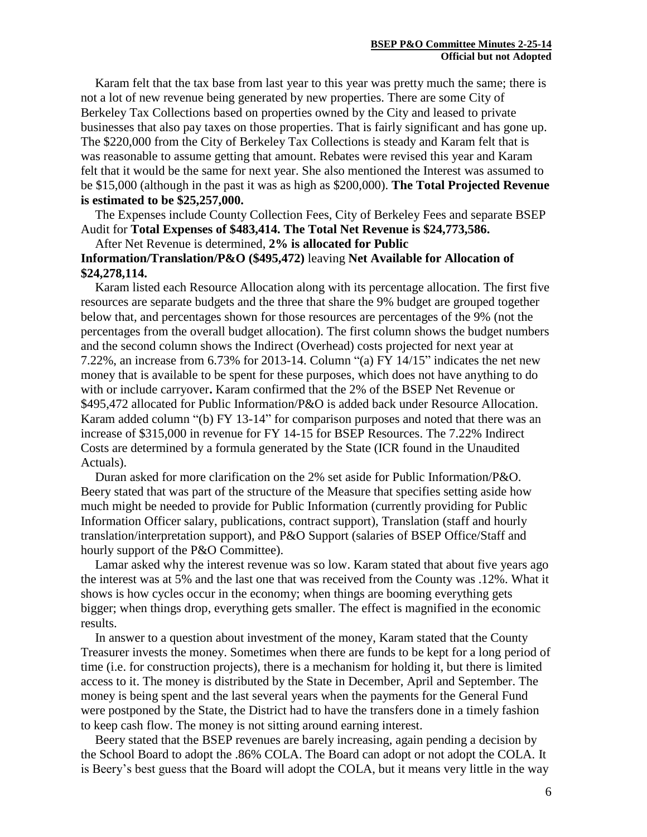Karam felt that the tax base from last year to this year was pretty much the same; there is not a lot of new revenue being generated by new properties. There are some City of Berkeley Tax Collections based on properties owned by the City and leased to private businesses that also pay taxes on those properties. That is fairly significant and has gone up. The \$220,000 from the City of Berkeley Tax Collections is steady and Karam felt that is was reasonable to assume getting that amount. Rebates were revised this year and Karam felt that it would be the same for next year. She also mentioned the Interest was assumed to be \$15,000 (although in the past it was as high as \$200,000). **The Total Projected Revenue is estimated to be \$25,257,000.**

The Expenses include County Collection Fees, City of Berkeley Fees and separate BSEP Audit for **Total Expenses of \$483,414. The Total Net Revenue is \$24,773,586.**

### After Net Revenue is determined, **2% is allocated for Public Information/Translation/P&O (\$495,472)** leaving **Net Available for Allocation of \$24,278,114.**

Karam listed each Resource Allocation along with its percentage allocation. The first five resources are separate budgets and the three that share the 9% budget are grouped together below that, and percentages shown for those resources are percentages of the 9% (not the percentages from the overall budget allocation). The first column shows the budget numbers and the second column shows the Indirect (Overhead) costs projected for next year at 7.22%, an increase from 6.73% for 2013-14. Column "(a) FY 14/15" indicates the net new money that is available to be spent for these purposes, which does not have anything to do with or include carryover**.** Karam confirmed that the 2% of the BSEP Net Revenue or \$495,472 allocated for Public Information/P&O is added back under Resource Allocation. Karam added column "(b) FY 13-14" for comparison purposes and noted that there was an increase of \$315,000 in revenue for FY 14-15 for BSEP Resources. The 7.22% Indirect Costs are determined by a formula generated by the State (ICR found in the Unaudited Actuals).

Duran asked for more clarification on the 2% set aside for Public Information/P&O. Beery stated that was part of the structure of the Measure that specifies setting aside how much might be needed to provide for Public Information (currently providing for Public Information Officer salary, publications, contract support), Translation (staff and hourly translation/interpretation support), and P&O Support (salaries of BSEP Office/Staff and hourly support of the P&O Committee).

Lamar asked why the interest revenue was so low. Karam stated that about five years ago the interest was at 5% and the last one that was received from the County was .12%. What it shows is how cycles occur in the economy; when things are booming everything gets bigger; when things drop, everything gets smaller. The effect is magnified in the economic results.

In answer to a question about investment of the money, Karam stated that the County Treasurer invests the money. Sometimes when there are funds to be kept for a long period of time (i.e. for construction projects), there is a mechanism for holding it, but there is limited access to it. The money is distributed by the State in December, April and September. The money is being spent and the last several years when the payments for the General Fund were postponed by the State, the District had to have the transfers done in a timely fashion to keep cash flow. The money is not sitting around earning interest.

Beery stated that the BSEP revenues are barely increasing, again pending a decision by the School Board to adopt the .86% COLA. The Board can adopt or not adopt the COLA. It is Beery's best guess that the Board will adopt the COLA, but it means very little in the way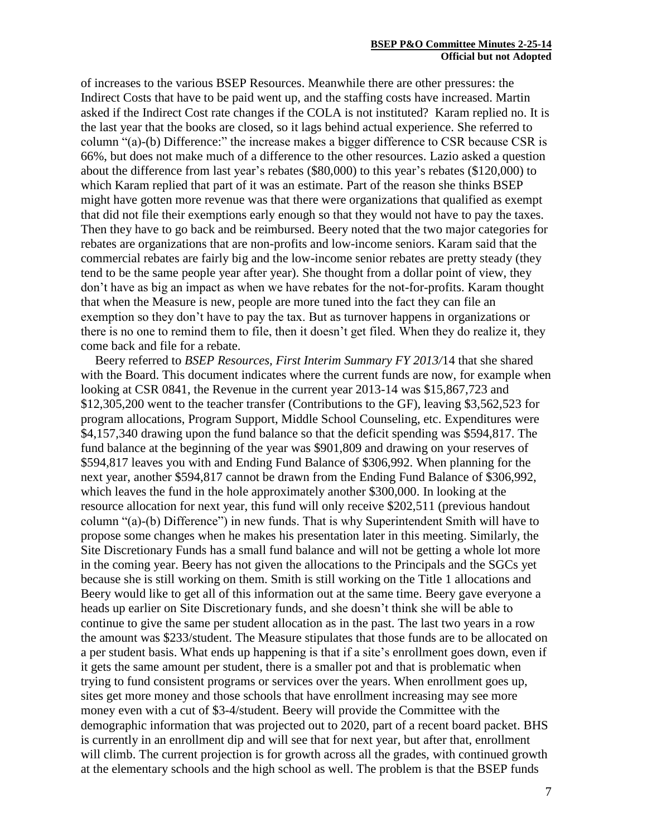of increases to the various BSEP Resources. Meanwhile there are other pressures: the Indirect Costs that have to be paid went up, and the staffing costs have increased. Martin asked if the Indirect Cost rate changes if the COLA is not instituted? Karam replied no. It is the last year that the books are closed, so it lags behind actual experience. She referred to column "(a)-(b) Difference:" the increase makes a bigger difference to CSR because CSR is 66%, but does not make much of a difference to the other resources. Lazio asked a question about the difference from last year's rebates (\$80,000) to this year's rebates (\$120,000) to which Karam replied that part of it was an estimate. Part of the reason she thinks BSEP might have gotten more revenue was that there were organizations that qualified as exempt that did not file their exemptions early enough so that they would not have to pay the taxes. Then they have to go back and be reimbursed. Beery noted that the two major categories for rebates are organizations that are non-profits and low-income seniors. Karam said that the commercial rebates are fairly big and the low-income senior rebates are pretty steady (they tend to be the same people year after year). She thought from a dollar point of view, they don't have as big an impact as when we have rebates for the not-for-profits. Karam thought that when the Measure is new, people are more tuned into the fact they can file an exemption so they don't have to pay the tax. But as turnover happens in organizations or there is no one to remind them to file, then it doesn't get filed. When they do realize it, they come back and file for a rebate.

Beery referred to *BSEP Resources, First Interim Summary FY 2013/*14 that she shared with the Board. This document indicates where the current funds are now, for example when looking at CSR 0841, the Revenue in the current year 2013-14 was \$15,867,723 and \$12,305,200 went to the teacher transfer (Contributions to the GF), leaving \$3,562,523 for program allocations, Program Support, Middle School Counseling, etc. Expenditures were \$4,157,340 drawing upon the fund balance so that the deficit spending was \$594,817. The fund balance at the beginning of the year was \$901,809 and drawing on your reserves of \$594,817 leaves you with and Ending Fund Balance of \$306,992. When planning for the next year, another \$594,817 cannot be drawn from the Ending Fund Balance of \$306,992, which leaves the fund in the hole approximately another \$300,000. In looking at the resource allocation for next year, this fund will only receive \$202,511 (previous handout column "(a)-(b) Difference") in new funds. That is why Superintendent Smith will have to propose some changes when he makes his presentation later in this meeting. Similarly, the Site Discretionary Funds has a small fund balance and will not be getting a whole lot more in the coming year. Beery has not given the allocations to the Principals and the SGCs yet because she is still working on them. Smith is still working on the Title 1 allocations and Beery would like to get all of this information out at the same time. Beery gave everyone a heads up earlier on Site Discretionary funds, and she doesn't think she will be able to continue to give the same per student allocation as in the past. The last two years in a row the amount was \$233/student. The Measure stipulates that those funds are to be allocated on a per student basis. What ends up happening is that if a site's enrollment goes down, even if it gets the same amount per student, there is a smaller pot and that is problematic when trying to fund consistent programs or services over the years. When enrollment goes up, sites get more money and those schools that have enrollment increasing may see more money even with a cut of \$3-4/student. Beery will provide the Committee with the demographic information that was projected out to 2020, part of a recent board packet. BHS is currently in an enrollment dip and will see that for next year, but after that, enrollment will climb. The current projection is for growth across all the grades, with continued growth at the elementary schools and the high school as well. The problem is that the BSEP funds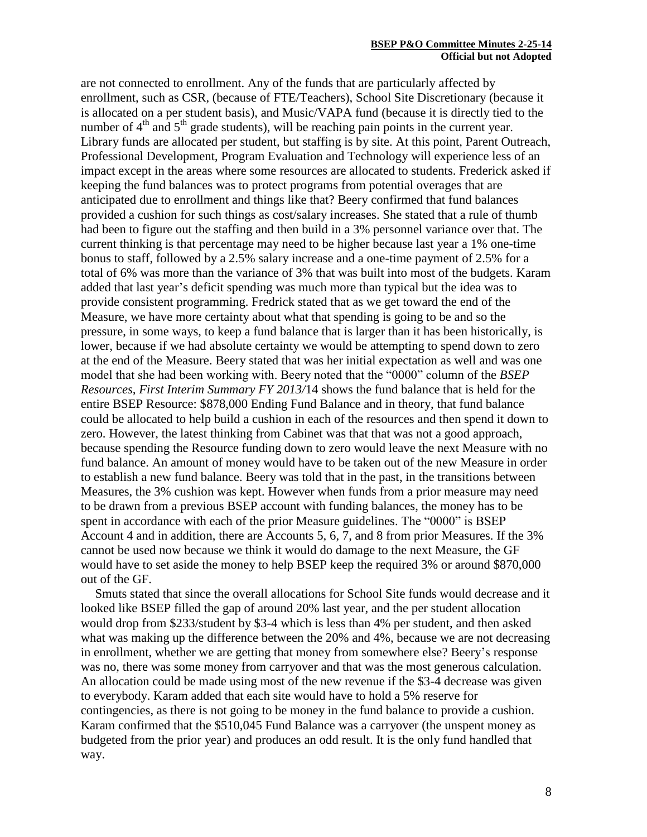#### **BSEP P&O Committee Minutes 2-25-14 Official but not Adopted**

are not connected to enrollment. Any of the funds that are particularly affected by enrollment, such as CSR, (because of FTE/Teachers), School Site Discretionary (because it is allocated on a per student basis), and Music/VAPA fund (because it is directly tied to the number of  $4<sup>th</sup>$  and  $5<sup>th</sup>$  grade students), will be reaching pain points in the current year. Library funds are allocated per student, but staffing is by site. At this point, Parent Outreach, Professional Development, Program Evaluation and Technology will experience less of an impact except in the areas where some resources are allocated to students. Frederick asked if keeping the fund balances was to protect programs from potential overages that are anticipated due to enrollment and things like that? Beery confirmed that fund balances provided a cushion for such things as cost/salary increases. She stated that a rule of thumb had been to figure out the staffing and then build in a 3% personnel variance over that. The current thinking is that percentage may need to be higher because last year a 1% one-time bonus to staff, followed by a 2.5% salary increase and a one-time payment of 2.5% for a total of 6% was more than the variance of 3% that was built into most of the budgets. Karam added that last year's deficit spending was much more than typical but the idea was to provide consistent programming. Fredrick stated that as we get toward the end of the Measure, we have more certainty about what that spending is going to be and so the pressure, in some ways, to keep a fund balance that is larger than it has been historically, is lower, because if we had absolute certainty we would be attempting to spend down to zero at the end of the Measure. Beery stated that was her initial expectation as well and was one model that she had been working with. Beery noted that the "0000" column of the *BSEP Resources, First Interim Summary FY 2013/*14 shows the fund balance that is held for the entire BSEP Resource: \$878,000 Ending Fund Balance and in theory, that fund balance could be allocated to help build a cushion in each of the resources and then spend it down to zero. However, the latest thinking from Cabinet was that that was not a good approach, because spending the Resource funding down to zero would leave the next Measure with no fund balance. An amount of money would have to be taken out of the new Measure in order to establish a new fund balance. Beery was told that in the past, in the transitions between Measures, the 3% cushion was kept. However when funds from a prior measure may need to be drawn from a previous BSEP account with funding balances, the money has to be spent in accordance with each of the prior Measure guidelines. The "0000" is BSEP Account 4 and in addition, there are Accounts 5, 6, 7, and 8 from prior Measures. If the 3% cannot be used now because we think it would do damage to the next Measure, the GF would have to set aside the money to help BSEP keep the required 3% or around \$870,000 out of the GF.

Smuts stated that since the overall allocations for School Site funds would decrease and it looked like BSEP filled the gap of around 20% last year, and the per student allocation would drop from \$233/student by \$3-4 which is less than 4% per student, and then asked what was making up the difference between the 20% and 4%, because we are not decreasing in enrollment, whether we are getting that money from somewhere else? Beery's response was no, there was some money from carryover and that was the most generous calculation. An allocation could be made using most of the new revenue if the \$3-4 decrease was given to everybody. Karam added that each site would have to hold a 5% reserve for contingencies, as there is not going to be money in the fund balance to provide a cushion. Karam confirmed that the \$510,045 Fund Balance was a carryover (the unspent money as budgeted from the prior year) and produces an odd result. It is the only fund handled that way.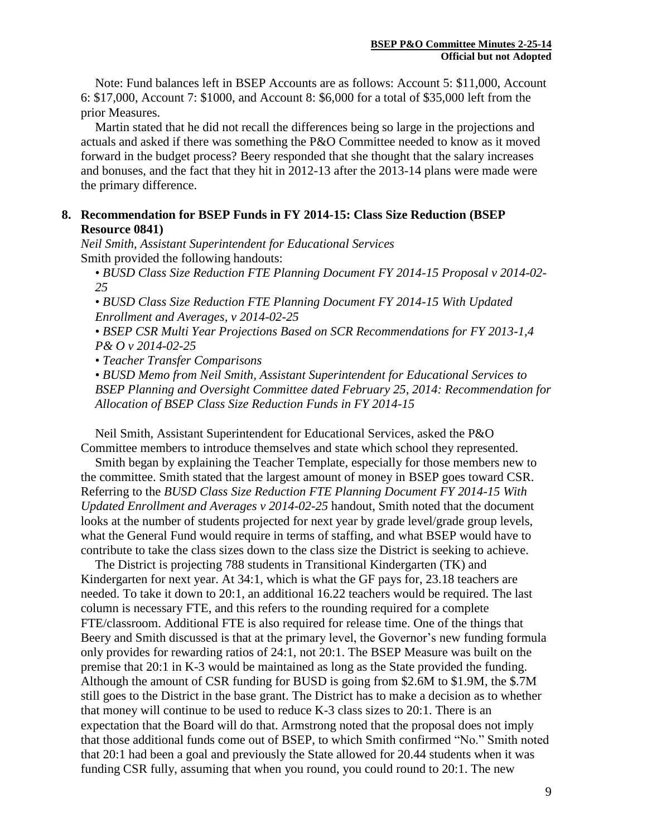Note: Fund balances left in BSEP Accounts are as follows: Account 5: \$11,000, Account 6: \$17,000, Account 7: \$1000, and Account 8: \$6,000 for a total of \$35,000 left from the prior Measures.

Martin stated that he did not recall the differences being so large in the projections and actuals and asked if there was something the P&O Committee needed to know as it moved forward in the budget process? Beery responded that she thought that the salary increases and bonuses, and the fact that they hit in 2012-13 after the 2013-14 plans were made were the primary difference.

# **8. Recommendation for BSEP Funds in FY 2014-15: Class Size Reduction (BSEP Resource 0841)**

*Neil Smith, Assistant Superintendent for Educational Services* Smith provided the following handouts:

• *BUSD Class Size Reduction FTE Planning Document FY 2014-15 Proposal v 2014-02- 25*

• *BUSD Class Size Reduction FTE Planning Document FY 2014-15 With Updated Enrollment and Averages, v 2014-02-25*

• *BSEP CSR Multi Year Projections Based on SCR Recommendations for FY 2013-1,4 P& O v 2014-02-25*

• *Teacher Transfer Comparisons*

• *BUSD Memo from Neil Smith, Assistant Superintendent for Educational Services to BSEP Planning and Oversight Committee dated February 25, 2014: Recommendation for Allocation of BSEP Class Size Reduction Funds in FY 2014-15*

Neil Smith, Assistant Superintendent for Educational Services, asked the P&O Committee members to introduce themselves and state which school they represented.

Smith began by explaining the Teacher Template, especially for those members new to the committee. Smith stated that the largest amount of money in BSEP goes toward CSR. Referring to the *BUSD Class Size Reduction FTE Planning Document FY 2014-15 With Updated Enrollment and Averages v 2014-02-25* handout, Smith noted that the document looks at the number of students projected for next year by grade level/grade group levels, what the General Fund would require in terms of staffing, and what BSEP would have to contribute to take the class sizes down to the class size the District is seeking to achieve.

The District is projecting 788 students in Transitional Kindergarten (TK) and Kindergarten for next year. At 34:1, which is what the GF pays for, 23.18 teachers are needed. To take it down to 20:1, an additional 16.22 teachers would be required. The last column is necessary FTE, and this refers to the rounding required for a complete FTE/classroom. Additional FTE is also required for release time. One of the things that Beery and Smith discussed is that at the primary level, the Governor's new funding formula only provides for rewarding ratios of 24:1, not 20:1. The BSEP Measure was built on the premise that 20:1 in K-3 would be maintained as long as the State provided the funding. Although the amount of CSR funding for BUSD is going from \$2.6M to \$1.9M, the \$.7M still goes to the District in the base grant. The District has to make a decision as to whether that money will continue to be used to reduce K-3 class sizes to 20:1. There is an expectation that the Board will do that. Armstrong noted that the proposal does not imply that those additional funds come out of BSEP, to which Smith confirmed "No." Smith noted that 20:1 had been a goal and previously the State allowed for 20.44 students when it was funding CSR fully, assuming that when you round, you could round to 20:1. The new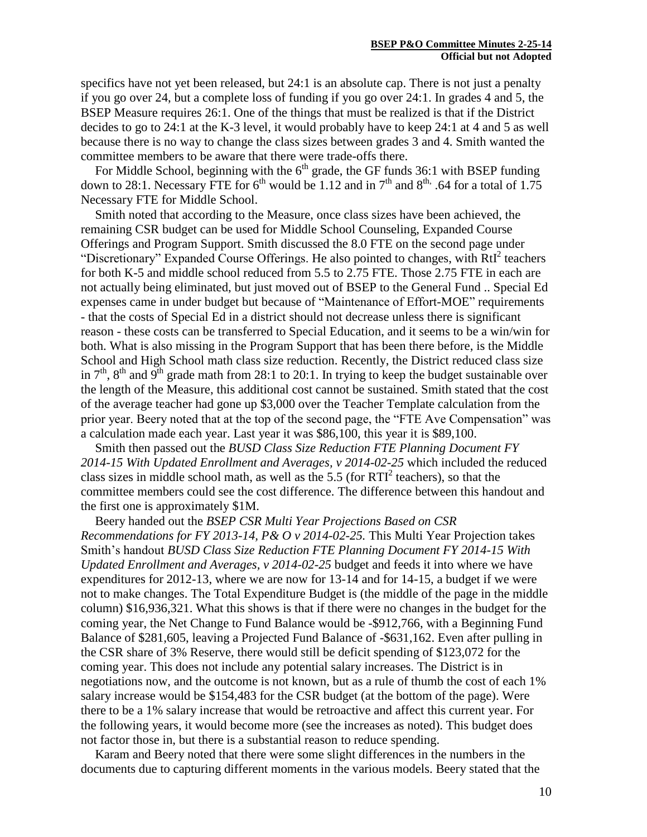specifics have not yet been released, but 24:1 is an absolute cap. There is not just a penalty if you go over 24, but a complete loss of funding if you go over 24:1. In grades 4 and 5, the BSEP Measure requires 26:1. One of the things that must be realized is that if the District decides to go to 24:1 at the K-3 level, it would probably have to keep 24:1 at 4 and 5 as well because there is no way to change the class sizes between grades 3 and 4. Smith wanted the committee members to be aware that there were trade-offs there.

For Middle School, beginning with the  $6<sup>th</sup>$  grade, the GF funds 36:1 with BSEP funding down to 28:1. Necessary FTE for  $6<sup>th</sup>$  would be 1.12 and in  $7<sup>th</sup>$  and  $8<sup>th</sup>$ . 64 for a total of 1.75 Necessary FTE for Middle School.

Smith noted that according to the Measure, once class sizes have been achieved, the remaining CSR budget can be used for Middle School Counseling, Expanded Course Offerings and Program Support. Smith discussed the 8.0 FTE on the second page under "Discretionary" Expanded Course Offerings. He also pointed to changes, with RtI<sup>2</sup> teachers for both K-5 and middle school reduced from 5.5 to 2.75 FTE. Those 2.75 FTE in each are not actually being eliminated, but just moved out of BSEP to the General Fund .. Special Ed expenses came in under budget but because of "Maintenance of Effort-MOE" requirements - that the costs of Special Ed in a district should not decrease unless there is significant reason - these costs can be transferred to Special Education, and it seems to be a win/win for both. What is also missing in the Program Support that has been there before, is the Middle School and High School math class size reduction. Recently, the District reduced class size in  $7<sup>th</sup>$ ,  $8<sup>th</sup>$  and  $9<sup>th</sup>$  grade math from 28:1 to 20:1. In trying to keep the budget sustainable over the length of the Measure, this additional cost cannot be sustained. Smith stated that the cost of the average teacher had gone up \$3,000 over the Teacher Template calculation from the prior year. Beery noted that at the top of the second page, the "FTE Ave Compensation" was a calculation made each year. Last year it was \$86,100, this year it is \$89,100.

Smith then passed out the *BUSD Class Size Reduction FTE Planning Document FY 2014-15 With Updated Enrollment and Averages, v 2014-02-25* which included the reduced class sizes in middle school math, as well as the  $5.5$  (for  $RTI<sup>2</sup>$  teachers), so that the committee members could see the cost difference. The difference between this handout and the first one is approximately \$1M.

Beery handed out the *BSEP CSR Multi Year Projections Based on CSR Recommendations for FY 2013-14, P& O v 2014-02-25.* This Multi Year Projection takes Smith's handout *BUSD Class Size Reduction FTE Planning Document FY 2014-15 With Updated Enrollment and Averages, v 2014-02-25* budget and feeds it into where we have expenditures for 2012-13, where we are now for 13-14 and for 14-15, a budget if we were not to make changes. The Total Expenditure Budget is (the middle of the page in the middle column) \$16,936,321. What this shows is that if there were no changes in the budget for the coming year, the Net Change to Fund Balance would be -\$912,766, with a Beginning Fund Balance of \$281,605, leaving a Projected Fund Balance of -\$631,162. Even after pulling in the CSR share of 3% Reserve, there would still be deficit spending of \$123,072 for the coming year. This does not include any potential salary increases. The District is in negotiations now, and the outcome is not known, but as a rule of thumb the cost of each 1% salary increase would be \$154,483 for the CSR budget (at the bottom of the page). Were there to be a 1% salary increase that would be retroactive and affect this current year. For the following years, it would become more (see the increases as noted). This budget does not factor those in, but there is a substantial reason to reduce spending.

Karam and Beery noted that there were some slight differences in the numbers in the documents due to capturing different moments in the various models. Beery stated that the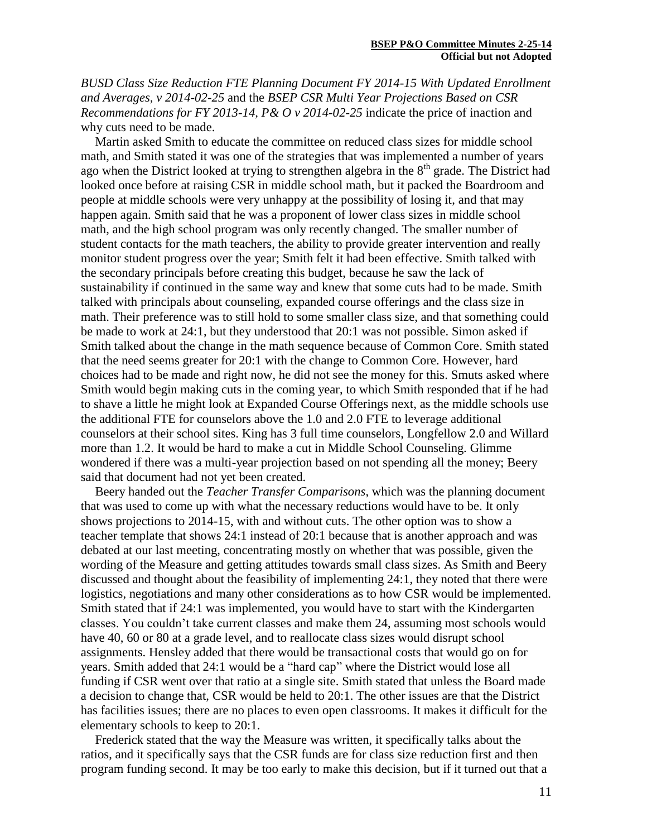*BUSD Class Size Reduction FTE Planning Document FY 2014-15 With Updated Enrollment and Averages, v 2014-02-25* and the *BSEP CSR Multi Year Projections Based on CSR Recommendations for FY 2013-14, P& O v 2014-02-25* indicate the price of inaction and why cuts need to be made.

Martin asked Smith to educate the committee on reduced class sizes for middle school math, and Smith stated it was one of the strategies that was implemented a number of years ago when the District looked at trying to strengthen algebra in the  $8<sup>th</sup>$  grade. The District had looked once before at raising CSR in middle school math, but it packed the Boardroom and people at middle schools were very unhappy at the possibility of losing it, and that may happen again. Smith said that he was a proponent of lower class sizes in middle school math, and the high school program was only recently changed. The smaller number of student contacts for the math teachers, the ability to provide greater intervention and really monitor student progress over the year; Smith felt it had been effective. Smith talked with the secondary principals before creating this budget, because he saw the lack of sustainability if continued in the same way and knew that some cuts had to be made. Smith talked with principals about counseling, expanded course offerings and the class size in math. Their preference was to still hold to some smaller class size, and that something could be made to work at 24:1, but they understood that 20:1 was not possible. Simon asked if Smith talked about the change in the math sequence because of Common Core. Smith stated that the need seems greater for 20:1 with the change to Common Core. However, hard choices had to be made and right now, he did not see the money for this. Smuts asked where Smith would begin making cuts in the coming year, to which Smith responded that if he had to shave a little he might look at Expanded Course Offerings next, as the middle schools use the additional FTE for counselors above the 1.0 and 2.0 FTE to leverage additional counselors at their school sites. King has 3 full time counselors, Longfellow 2.0 and Willard more than 1.2. It would be hard to make a cut in Middle School Counseling. Glimme wondered if there was a multi-year projection based on not spending all the money; Beery said that document had not yet been created.

Beery handed out the *Teacher Transfer Comparisons*, which was the planning document that was used to come up with what the necessary reductions would have to be. It only shows projections to 2014-15, with and without cuts. The other option was to show a teacher template that shows 24:1 instead of 20:1 because that is another approach and was debated at our last meeting, concentrating mostly on whether that was possible, given the wording of the Measure and getting attitudes towards small class sizes. As Smith and Beery discussed and thought about the feasibility of implementing 24:1, they noted that there were logistics, negotiations and many other considerations as to how CSR would be implemented. Smith stated that if 24:1 was implemented, you would have to start with the Kindergarten classes. You couldn't take current classes and make them 24, assuming most schools would have 40, 60 or 80 at a grade level, and to reallocate class sizes would disrupt school assignments. Hensley added that there would be transactional costs that would go on for years. Smith added that 24:1 would be a "hard cap" where the District would lose all funding if CSR went over that ratio at a single site. Smith stated that unless the Board made a decision to change that, CSR would be held to 20:1. The other issues are that the District has facilities issues; there are no places to even open classrooms. It makes it difficult for the elementary schools to keep to 20:1.

Frederick stated that the way the Measure was written, it specifically talks about the ratios, and it specifically says that the CSR funds are for class size reduction first and then program funding second. It may be too early to make this decision, but if it turned out that a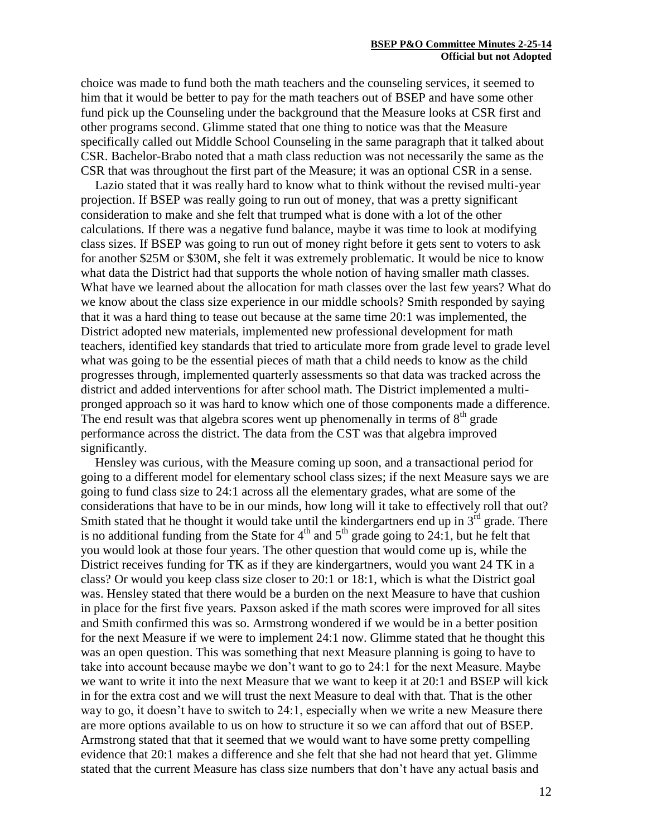choice was made to fund both the math teachers and the counseling services, it seemed to him that it would be better to pay for the math teachers out of BSEP and have some other fund pick up the Counseling under the background that the Measure looks at CSR first and other programs second. Glimme stated that one thing to notice was that the Measure specifically called out Middle School Counseling in the same paragraph that it talked about CSR. Bachelor-Brabo noted that a math class reduction was not necessarily the same as the CSR that was throughout the first part of the Measure; it was an optional CSR in a sense.

Lazio stated that it was really hard to know what to think without the revised multi-year projection. If BSEP was really going to run out of money, that was a pretty significant consideration to make and she felt that trumped what is done with a lot of the other calculations. If there was a negative fund balance, maybe it was time to look at modifying class sizes. If BSEP was going to run out of money right before it gets sent to voters to ask for another \$25M or \$30M, she felt it was extremely problematic. It would be nice to know what data the District had that supports the whole notion of having smaller math classes. What have we learned about the allocation for math classes over the last few years? What do we know about the class size experience in our middle schools? Smith responded by saying that it was a hard thing to tease out because at the same time 20:1 was implemented, the District adopted new materials, implemented new professional development for math teachers, identified key standards that tried to articulate more from grade level to grade level what was going to be the essential pieces of math that a child needs to know as the child progresses through, implemented quarterly assessments so that data was tracked across the district and added interventions for after school math. The District implemented a multipronged approach so it was hard to know which one of those components made a difference. The end result was that algebra scores went up phenomenally in terms of  $8<sup>th</sup>$  grade performance across the district. The data from the CST was that algebra improved significantly.

Hensley was curious, with the Measure coming up soon, and a transactional period for going to a different model for elementary school class sizes; if the next Measure says we are going to fund class size to 24:1 across all the elementary grades, what are some of the considerations that have to be in our minds, how long will it take to effectively roll that out? Smith stated that he thought it would take until the kindergartners end up in  $3<sup>rd</sup>$  grade. There is no additional funding from the State for  $4<sup>th</sup>$  and  $5<sup>th</sup>$  grade going to 24:1, but he felt that you would look at those four years. The other question that would come up is, while the District receives funding for TK as if they are kindergartners, would you want 24 TK in a class? Or would you keep class size closer to 20:1 or 18:1, which is what the District goal was. Hensley stated that there would be a burden on the next Measure to have that cushion in place for the first five years. Paxson asked if the math scores were improved for all sites and Smith confirmed this was so. Armstrong wondered if we would be in a better position for the next Measure if we were to implement 24:1 now. Glimme stated that he thought this was an open question. This was something that next Measure planning is going to have to take into account because maybe we don't want to go to 24:1 for the next Measure. Maybe we want to write it into the next Measure that we want to keep it at 20:1 and BSEP will kick in for the extra cost and we will trust the next Measure to deal with that. That is the other way to go, it doesn't have to switch to 24:1, especially when we write a new Measure there are more options available to us on how to structure it so we can afford that out of BSEP. Armstrong stated that that it seemed that we would want to have some pretty compelling evidence that 20:1 makes a difference and she felt that she had not heard that yet. Glimme stated that the current Measure has class size numbers that don't have any actual basis and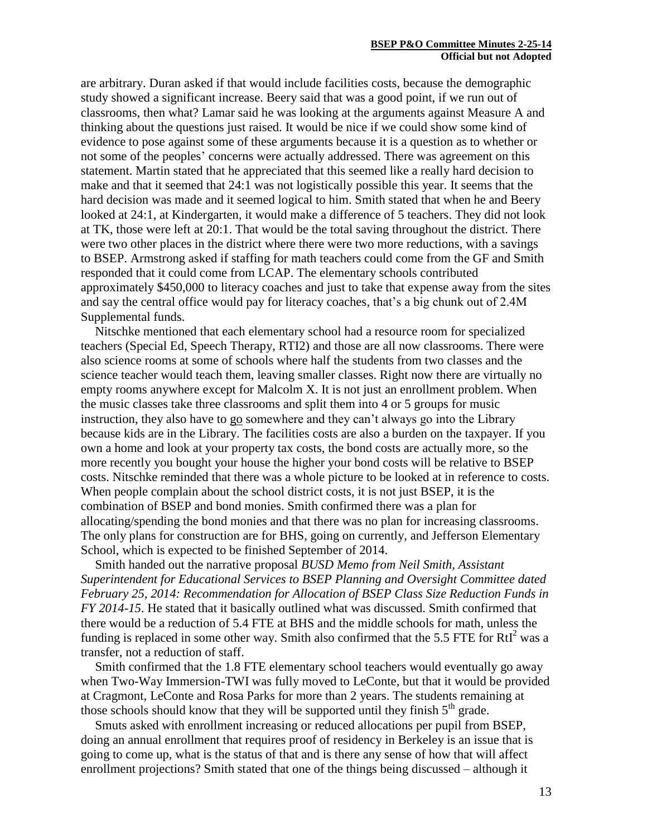are arbitrary. Duran asked if that would include facilities costs, because the demographic study showed a significant increase. Beery said that was a good point, if we run out of classrooms, then what? Lamar said he was looking at the arguments against Measure A and thinking about the questions just raised. It would be nice if we could show some kind of evidence to pose against some of these arguments because it is a question as to whether or not some of the peoples' concerns were actually addressed. There was agreement on this statement. Martin stated that he appreciated that this seemed like a really hard decision to make and that it seemed that 24:1 was not logistically possible this year. It seems that the hard decision was made and it seemed logical to him. Smith stated that when he and Beery looked at 24:1, at Kindergarten, it would make a difference of 5 teachers. They did not look at TK, those were left at 20:1. That would be the total saving throughout the district. There were two other places in the district where there were two more reductions, with a savings to BSEP. Armstrong asked if staffing for math teachers could come from the GF and Smith responded that it could come from LCAP. The elementary schools contributed approximately \$450,000 to literacy coaches and just to take that expense away from the sites and say the central office would pay for literacy coaches, that's a big chunk out of 2.4M Supplemental funds.

Nitschke mentioned that each elementary school had a resource room for specialized teachers (Special Ed, Speech Therapy, RTI2) and those are all now classrooms. There were also science rooms at some of schools where half the students from two classes and the science teacher would teach them, leaving smaller classes. Right now there are virtually no empty rooms anywhere except for Malcolm X. It is not just an enrollment problem. When the music classes take three classrooms and split them into 4 or 5 groups for music instruction, they also have to go somewhere and they can't always go into the Library because kids are in the Library. The facilities costs are also a burden on the taxpayer. If you own a home and look at your property tax costs, the bond costs are actually more, so the more recently you bought your house the higher your bond costs will be relative to BSEP costs. Nitschke reminded that there was a whole picture to be looked at in reference to costs. When people complain about the school district costs, it is not just BSEP, it is the combination of BSEP and bond monies. Smith confirmed there was a plan for allocating/spending the bond monies and that there was no plan for increasing classrooms. The only plans for construction are for BHS, going on currently, and Jefferson Elementary School, which is expected to be finished September of 2014.

Smith handed out the narrative proposal *BUSD Memo from Neil Smith, Assistant Superintendent for Educational Services to BSEP Planning and Oversight Committee dated February 25, 2014: Recommendation for Allocation of BSEP Class Size Reduction Funds in FY 2014-15*. He stated that it basically outlined what was discussed. Smith confirmed that there would be a reduction of 5.4 FTE at BHS and the middle schools for math, unless the funding is replaced in some other way. Smith also confirmed that the 5.5 FTE for  $RtI<sup>2</sup>$  was a transfer, not a reduction of staff.

Smith confirmed that the 1.8 FTE elementary school teachers would eventually go away when Two-Way Immersion-TWI was fully moved to LeConte, but that it would be provided at Cragmont, LeConte and Rosa Parks for more than 2 years. The students remaining at those schools should know that they will be supported until they finish  $5<sup>th</sup>$  grade.

Smuts asked with enrollment increasing or reduced allocations per pupil from BSEP, doing an annual enrollment that requires proof of residency in Berkeley is an issue that is going to come up, what is the status of that and is there any sense of how that will affect enrollment projections? Smith stated that one of the things being discussed – although it